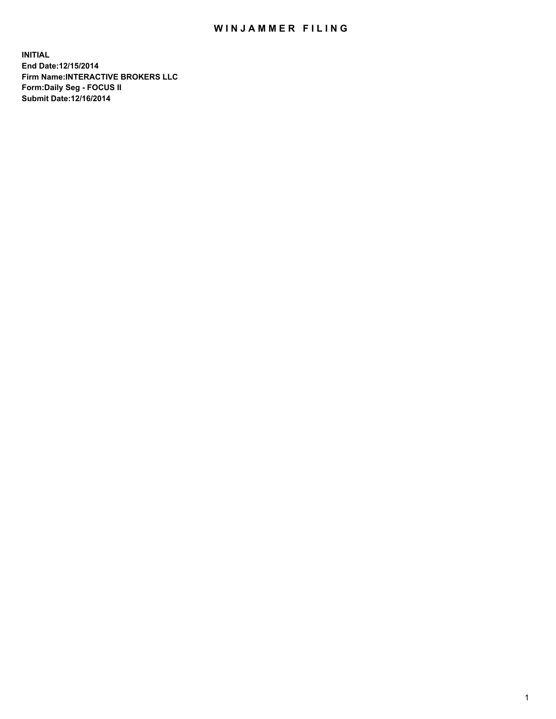## WIN JAMMER FILING

**INITIAL End Date:12/15/2014 Firm Name:INTERACTIVE BROKERS LLC Form:Daily Seg - FOCUS II Submit Date:12/16/2014**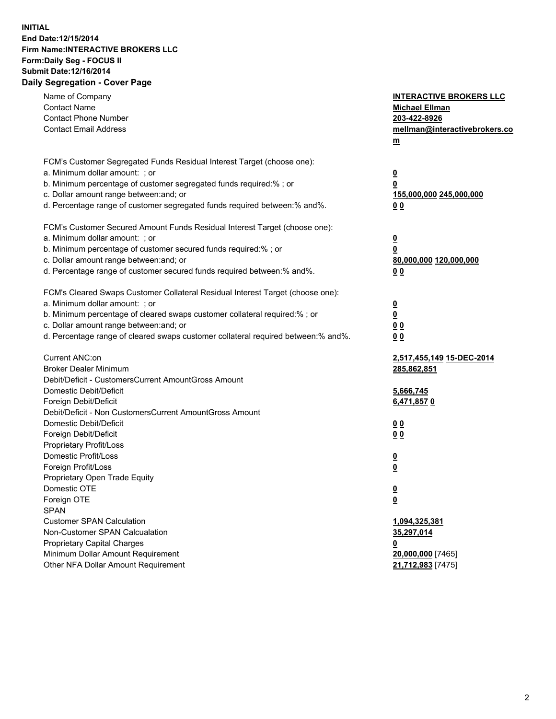## **INITIAL End Date:12/15/2014 Firm Name:INTERACTIVE BROKERS LLC Form:Daily Seg - FOCUS II Submit Date:12/16/2014 Daily Segregation - Cover Page**

| Name of Company<br><b>Contact Name</b><br><b>Contact Phone Number</b><br><b>Contact Email Address</b>                                                                                                                                                                                                                          | <b>INTERACTIVE BROKERS LLC</b><br><b>Michael Ellman</b><br>203-422-8926<br>mellman@interactivebrokers.co<br>m |
|--------------------------------------------------------------------------------------------------------------------------------------------------------------------------------------------------------------------------------------------------------------------------------------------------------------------------------|---------------------------------------------------------------------------------------------------------------|
| FCM's Customer Segregated Funds Residual Interest Target (choose one):<br>a. Minimum dollar amount: ; or<br>b. Minimum percentage of customer segregated funds required:% ; or<br>c. Dollar amount range between: and; or<br>d. Percentage range of customer segregated funds required between:% and%.                         | $\overline{\mathbf{0}}$<br>0<br>155,000,000 245,000,000<br>00                                                 |
| FCM's Customer Secured Amount Funds Residual Interest Target (choose one):<br>a. Minimum dollar amount: ; or<br>b. Minimum percentage of customer secured funds required:% ; or<br>c. Dollar amount range between: and; or<br>d. Percentage range of customer secured funds required between:% and%.                           | $\overline{\mathbf{0}}$<br>0<br>80,000,000 120,000,000<br>0 <sub>0</sub>                                      |
| FCM's Cleared Swaps Customer Collateral Residual Interest Target (choose one):<br>a. Minimum dollar amount: ; or<br>b. Minimum percentage of cleared swaps customer collateral required:% ; or<br>c. Dollar amount range between: and; or<br>d. Percentage range of cleared swaps customer collateral required between:% and%. | $\overline{\mathbf{0}}$<br><u>0</u><br>0 <sub>0</sub><br>0 <sub>0</sub>                                       |
| Current ANC:on<br><b>Broker Dealer Minimum</b><br>Debit/Deficit - CustomersCurrent AmountGross Amount<br>Domestic Debit/Deficit                                                                                                                                                                                                | 2,517,455,149 15-DEC-2014<br>285,862,851<br>5,666,745                                                         |
| Foreign Debit/Deficit<br>Debit/Deficit - Non CustomersCurrent AmountGross Amount<br>Domestic Debit/Deficit<br>Foreign Debit/Deficit<br>Proprietary Profit/Loss<br>Domestic Profit/Loss                                                                                                                                         | 6,471,8570<br>0 <sub>0</sub><br>0 <sub>0</sub><br>$\overline{\mathbf{0}}$                                     |
| Foreign Profit/Loss<br>Proprietary Open Trade Equity<br>Domestic OTE<br>Foreign OTE<br><b>SPAN</b><br><b>Customer SPAN Calculation</b>                                                                                                                                                                                         | $\overline{\mathbf{0}}$<br>$\overline{\mathbf{0}}$<br><u>0</u><br>1,094,325,381                               |
| Non-Customer SPAN Calcualation<br><b>Proprietary Capital Charges</b><br>Minimum Dollar Amount Requirement<br>Other NFA Dollar Amount Requirement                                                                                                                                                                               | 35,297,014<br><u>0</u><br>20,000,000 [7465]<br>21,712,983 [7475]                                              |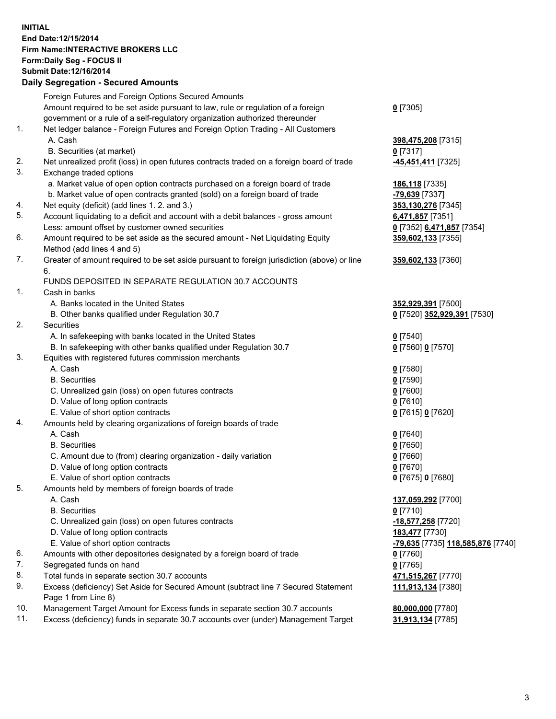## **INITIAL End Date:12/15/2014 Firm Name:INTERACTIVE BROKERS LLC Form:Daily Seg - FOCUS II Submit Date:12/16/2014 Daily Segregation - Secured Amounts**

|     | Foreign Futures and Foreign Options Secured Amounts                                         |                                   |
|-----|---------------------------------------------------------------------------------------------|-----------------------------------|
|     | Amount required to be set aside pursuant to law, rule or regulation of a foreign            | $0$ [7305]                        |
|     | government or a rule of a self-regulatory organization authorized thereunder                |                                   |
| 1.  | Net ledger balance - Foreign Futures and Foreign Option Trading - All Customers             |                                   |
|     | A. Cash                                                                                     | 398,475,208 [7315]                |
|     | B. Securities (at market)                                                                   | $0$ [7317]                        |
| 2.  | Net unrealized profit (loss) in open futures contracts traded on a foreign board of trade   | <b>-45,451,411</b> [7325]         |
| 3.  | Exchange traded options                                                                     |                                   |
|     | a. Market value of open option contracts purchased on a foreign board of trade              | 186,118 [7335]                    |
|     | b. Market value of open contracts granted (sold) on a foreign board of trade                | <mark>-79,639</mark> [7337]       |
| 4.  | Net equity (deficit) (add lines 1. 2. and 3.)                                               | 353,130,276 [7345]                |
| 5.  | Account liquidating to a deficit and account with a debit balances - gross amount           | 6,471,857 [7351]                  |
|     | Less: amount offset by customer owned securities                                            | 0 [7352] 6,471,857 [7354]         |
| 6.  | Amount required to be set aside as the secured amount - Net Liquidating Equity              | 359,602,133 [7355]                |
|     | Method (add lines 4 and 5)                                                                  |                                   |
| 7.  | Greater of amount required to be set aside pursuant to foreign jurisdiction (above) or line | 359,602,133 [7360]                |
|     | 6.                                                                                          |                                   |
|     | FUNDS DEPOSITED IN SEPARATE REGULATION 30.7 ACCOUNTS                                        |                                   |
| 1.  | Cash in banks                                                                               |                                   |
|     | A. Banks located in the United States                                                       | 352,929,391 [7500]                |
|     | B. Other banks qualified under Regulation 30.7                                              | 0 [7520] 352,929,391 [7530]       |
| 2.  | Securities                                                                                  |                                   |
|     | A. In safekeeping with banks located in the United States                                   | $0$ [7540]                        |
|     | B. In safekeeping with other banks qualified under Regulation 30.7                          | 0 [7560] 0 [7570]                 |
| 3.  | Equities with registered futures commission merchants                                       |                                   |
|     | A. Cash                                                                                     | $0$ [7580]                        |
|     | <b>B.</b> Securities                                                                        | $0$ [7590]                        |
|     | C. Unrealized gain (loss) on open futures contracts                                         | $0$ [7600]                        |
|     | D. Value of long option contracts                                                           | $0$ [7610]                        |
|     | E. Value of short option contracts                                                          | 0 [7615] 0 [7620]                 |
| 4.  | Amounts held by clearing organizations of foreign boards of trade                           |                                   |
|     | A. Cash                                                                                     | $0$ [7640]                        |
|     | <b>B.</b> Securities                                                                        | $0$ [7650]                        |
|     | C. Amount due to (from) clearing organization - daily variation                             | $0$ [7660]                        |
|     | D. Value of long option contracts                                                           | $0$ [7670]                        |
|     | E. Value of short option contracts                                                          | 0 [7675] 0 [7680]                 |
| 5.  | Amounts held by members of foreign boards of trade                                          |                                   |
|     | A. Cash                                                                                     | 137,059,292 [7700]                |
|     | <b>B.</b> Securities                                                                        | $0$ [7710]                        |
|     | C. Unrealized gain (loss) on open futures contracts                                         | -18,577,258 [7720]                |
|     | D. Value of long option contracts                                                           | 183,477 [7730]                    |
|     | E. Value of short option contracts                                                          | -79,635 [7735] 118,585,876 [7740] |
| 6.  | Amounts with other depositories designated by a foreign board of trade                      | 0 [7760]                          |
| 7.  | Segregated funds on hand                                                                    | $0$ [7765]                        |
| 8.  | Total funds in separate section 30.7 accounts                                               | 471,515,267 [7770]                |
| 9.  | Excess (deficiency) Set Aside for Secured Amount (subtract line 7 Secured Statement         | 111,913,134 [7380]                |
|     | Page 1 from Line 8)                                                                         |                                   |
| 10. | Management Target Amount for Excess funds in separate section 30.7 accounts                 | 80,000,000 [7780]                 |
| 11. | Excess (deficiency) funds in separate 30.7 accounts over (under) Management Target          | 31,913,134 [7785]                 |
|     |                                                                                             |                                   |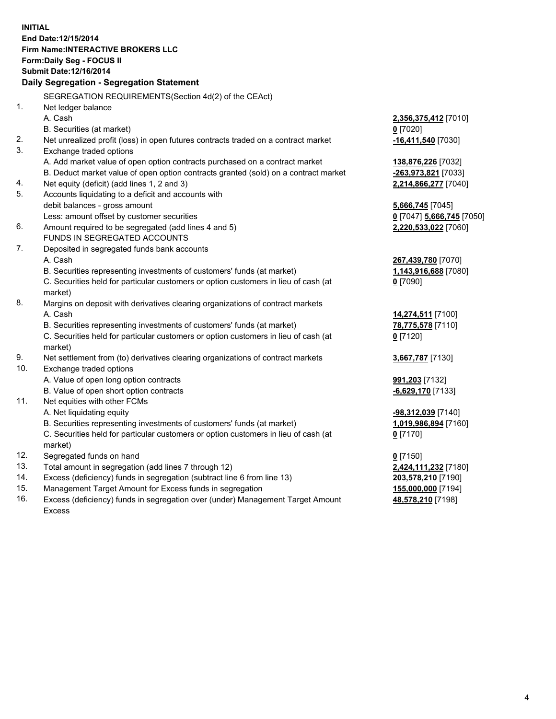**INITIAL End Date:12/15/2014 Firm Name:INTERACTIVE BROKERS LLC Form:Daily Seg - FOCUS II Submit Date:12/16/2014 Daily Segregation - Segregation Statement** SEGREGATION REQUIREMENTS(Section 4d(2) of the CEAct) 1. Net ledger balance A. Cash **2,356,375,412** [7010] B. Securities (at market) **0** [7020] 2. Net unrealized profit (loss) in open futures contracts traded on a contract market **-16,411,540** [7030] 3. Exchange traded options A. Add market value of open option contracts purchased on a contract market **138,876,226** [7032] B. Deduct market value of open option contracts granted (sold) on a contract market **-263,973,821** [7033] 4. Net equity (deficit) (add lines 1, 2 and 3) **2,214,866,277** [7040] 5. Accounts liquidating to a deficit and accounts with debit balances - gross amount **5,666,745** [7045] Less: amount offset by customer securities **0** [7047] **5,666,745** [7050] 6. Amount required to be segregated (add lines 4 and 5) **2,220,533,022** [7060] FUNDS IN SEGREGATED ACCOUNTS 7. Deposited in segregated funds bank accounts A. Cash **267,439,780** [7070] B. Securities representing investments of customers' funds (at market) **1,143,916,688** [7080] C. Securities held for particular customers or option customers in lieu of cash (at market) **0** [7090] 8. Margins on deposit with derivatives clearing organizations of contract markets A. Cash **14,274,511** [7100] B. Securities representing investments of customers' funds (at market) **78,775,578** [7110] C. Securities held for particular customers or option customers in lieu of cash (at market) **0** [7120] 9. Net settlement from (to) derivatives clearing organizations of contract markets **3,667,787** [7130] 10. Exchange traded options A. Value of open long option contracts **991,203** [7132] B. Value of open short option contracts **-6,629,170** [7133] 11. Net equities with other FCMs A. Net liquidating equity **-98,312,039** [7140] B. Securities representing investments of customers' funds (at market) **1,019,986,894** [7160] C. Securities held for particular customers or option customers in lieu of cash (at market) **0** [7170] 12. Segregated funds on hand **0** [7150] 13. Total amount in segregation (add lines 7 through 12) **2,424,111,232** [7180] 14. Excess (deficiency) funds in segregation (subtract line 6 from line 13) **203,578,210** [7190] 15. Management Target Amount for Excess funds in segregation **155,000,000** [7194]

16. Excess (deficiency) funds in segregation over (under) Management Target Amount Excess

**48,578,210** [7198]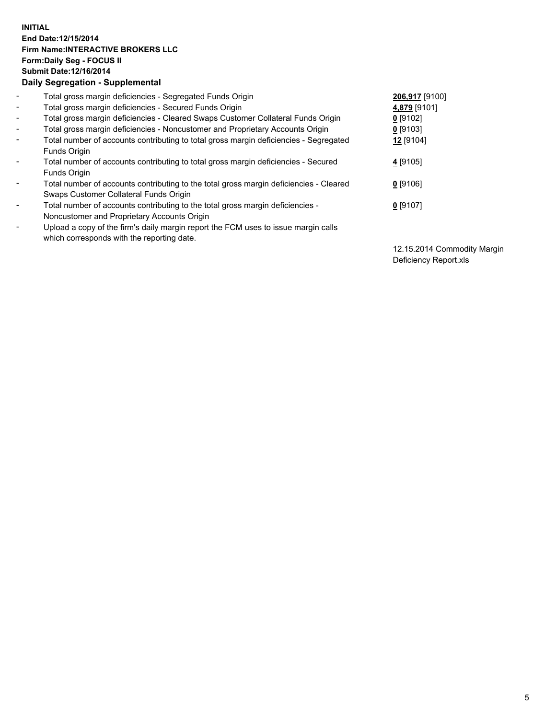## **INITIAL End Date:12/15/2014 Firm Name:INTERACTIVE BROKERS LLC Form:Daily Seg - FOCUS II Submit Date:12/16/2014 Daily Segregation - Supplemental**

| $\blacksquare$ | Total gross margin deficiencies - Segregated Funds Origin                              | 206,917 [9100] |
|----------------|----------------------------------------------------------------------------------------|----------------|
| $\blacksquare$ | Total gross margin deficiencies - Secured Funds Origin                                 | 4,879 [9101]   |
| $\blacksquare$ | Total gross margin deficiencies - Cleared Swaps Customer Collateral Funds Origin       | $0$ [9102]     |
| $\blacksquare$ | Total gross margin deficiencies - Noncustomer and Proprietary Accounts Origin          | $0$ [9103]     |
| $\blacksquare$ | Total number of accounts contributing to total gross margin deficiencies - Segregated  | 12 [9104]      |
|                | Funds Origin                                                                           |                |
| $\blacksquare$ | Total number of accounts contributing to total gross margin deficiencies - Secured     | 4 [9105]       |
|                | Funds Origin                                                                           |                |
| Ξ.             | Total number of accounts contributing to the total gross margin deficiencies - Cleared | $0$ [9106]     |
|                | Swaps Customer Collateral Funds Origin                                                 |                |
| -              | Total number of accounts contributing to the total gross margin deficiencies -         | $0$ [9107]     |
|                | Noncustomer and Proprietary Accounts Origin                                            |                |
| -              | Upload a copy of the firm's daily margin report the FCM uses to issue margin calls     |                |
|                | which corresponds with the reporting date.                                             |                |

12.15.2014 Commodity Margin Deficiency Report.xls